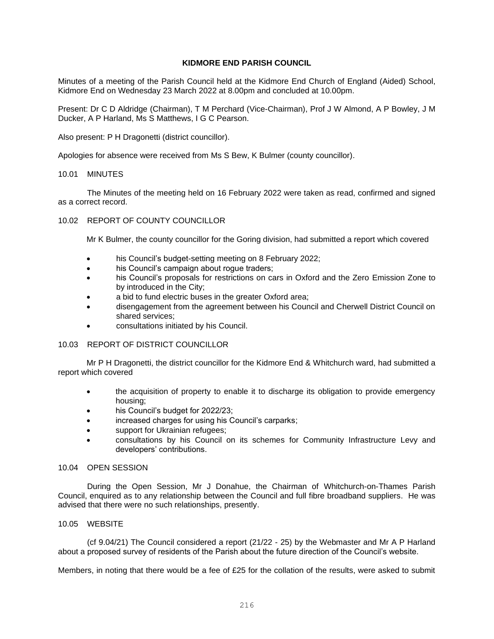## **KIDMORE END PARISH COUNCIL**

Minutes of a meeting of the Parish Council held at the Kidmore End Church of England (Aided) School, Kidmore End on Wednesday 23 March 2022 at 8.00pm and concluded at 10.00pm.

Present: Dr C D Aldridge (Chairman), T M Perchard (Vice-Chairman), Prof J W Almond, A P Bowley, J M Ducker, A P Harland, Ms S Matthews, I G C Pearson.

Also present: P H Dragonetti (district councillor).

Apologies for absence were received from Ms S Bew, K Bulmer (county councillor).

### 10.01 MINUTES

The Minutes of the meeting held on 16 February 2022 were taken as read, confirmed and signed as a correct record.

## 10.02 REPORT OF COUNTY COUNCILLOR

Mr K Bulmer, the county councillor for the Goring division, had submitted a report which covered

- his Council's budget-setting meeting on 8 February 2022;
- his Council's campaign about roque traders;
- his Council's proposals for restrictions on cars in Oxford and the Zero Emission Zone to by introduced in the City;
- a bid to fund electric buses in the greater Oxford area;
- disengagement from the agreement between his Council and Cherwell District Council on shared services;
- consultations initiated by his Council.

# 10.03 REPORT OF DISTRICT COUNCILLOR

Mr P H Dragonetti, the district councillor for the Kidmore End & Whitchurch ward, had submitted a report which covered

- the acquisition of property to enable it to discharge its obligation to provide emergency housing;
- his Council's budget for 2022/23;
- increased charges for using his Council's carparks;
- support for Ukrainian refugees;
- consultations by his Council on its schemes for Community Infrastructure Levy and developers' contributions.

## 10.04 OPEN SESSION

During the Open Session, Mr J Donahue, the Chairman of Whitchurch-on-Thames Parish Council, enquired as to any relationship between the Council and full fibre broadband suppliers. He was advised that there were no such relationships, presently.

## 10.05 WEBSITE

(cf 9.04/21) The Council considered a report (21/22 - 25) by the Webmaster and Mr A P Harland about a proposed survey of residents of the Parish about the future direction of the Council's website.

Members, in noting that there would be a fee of £25 for the collation of the results, were asked to submit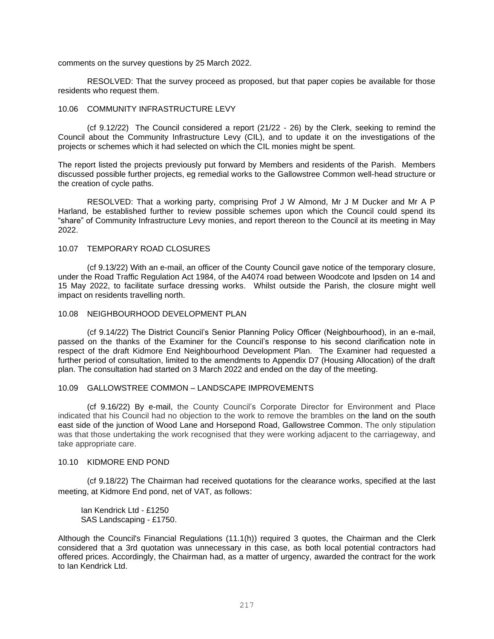comments on the survey questions by 25 March 2022.

RESOLVED: That the survey proceed as proposed, but that paper copies be available for those residents who request them.

### 10.06 COMMUNITY INFRASTRUCTURE LEVY

(cf 9.12/22) The Council considered a report (21/22 - 26) by the Clerk, seeking to remind the Council about the Community Infrastructure Levy (CIL), and to update it on the investigations of the projects or schemes which it had selected on which the CIL monies might be spent.

The report listed the projects previously put forward by Members and residents of the Parish. Members discussed possible further projects, eg remedial works to the Gallowstree Common well-head structure or the creation of cycle paths.

RESOLVED: That a working party, comprising Prof J W Almond, Mr J M Ducker and Mr A P Harland, be established further to review possible schemes upon which the Council could spend its "share" of Community Infrastructure Levy monies, and report thereon to the Council at its meeting in May 2022.

# 10.07 TEMPORARY ROAD CLOSURES

(cf 9.13/22) With an e-mail, an officer of the County Council gave notice of the temporary closure, under the Road Traffic Regulation Act 1984, of the A4074 road between Woodcote and Ipsden on 14 and 15 May 2022, to facilitate surface dressing works. Whilst outside the Parish, the closure might well impact on residents travelling north.

### 10.08 NEIGHBOURHOOD DEVELOPMENT PLAN

(cf 9.14/22) The District Council's Senior Planning Policy Officer (Neighbourhood), in an e-mail, passed on the thanks of the Examiner for the Council's response to his second clarification note in respect of the draft Kidmore End Neighbourhood Development Plan. The Examiner had requested a further period of consultation, limited to the amendments to Appendix D7 (Housing Allocation) of the draft plan. The consultation had started on 3 March 2022 and ended on the day of the meeting.

### 10.09 GALLOWSTREE COMMON – LANDSCAPE IMPROVEMENTS

(cf 9.16/22) By e-mail, the County Council's Corporate Director for Environment and Place indicated that his Council had no objection to the work to remove the brambles on the land on the south east side of the junction of Wood Lane and Horsepond Road, Gallowstree Common. The only stipulation was that those undertaking the work recognised that they were working adjacent to the carriageway, and take appropriate care.

### 10.10 KIDMORE END POND

(cf 9.18/22) The Chairman had received quotations for the clearance works, specified at the last meeting, at Kidmore End pond, net of VAT, as follows:

Ian Kendrick Ltd - £1250 SAS Landscaping - £1750.

Although the Council's Financial Regulations (11.1(h)) required 3 quotes, the Chairman and the Clerk considered that a 3rd quotation was unnecessary in this case, as both local potential contractors had offered prices. Accordingly, the Chairman had, as a matter of urgency, awarded the contract for the work to Ian Kendrick Ltd.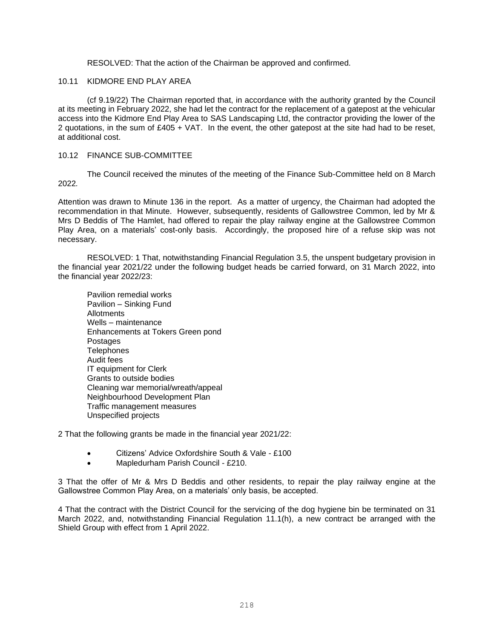RESOLVED: That the action of the Chairman be approved and confirmed.

### 10.11 KIDMORE END PLAY AREA

(cf 9.19/22) The Chairman reported that, in accordance with the authority granted by the Council at its meeting in February 2022, she had let the contract for the replacement of a gatepost at the vehicular access into the Kidmore End Play Area to SAS Landscaping Ltd, the contractor providing the lower of the 2 quotations, in the sum of £405 + VAT. In the event, the other gatepost at the site had had to be reset, at additional cost.

### 10.12 FINANCE SUB-COMMITTEE

The Council received the minutes of the meeting of the Finance Sub-Committee held on 8 March 2022*.*

Attention was drawn to Minute 136 in the report. As a matter of urgency, the Chairman had adopted the recommendation in that Minute. However, subsequently, residents of Gallowstree Common, led by Mr & Mrs D Beddis of The Hamlet, had offered to repair the play railway engine at the Gallowstree Common Play Area, on a materials' cost-only basis. Accordingly, the proposed hire of a refuse skip was not necessary.

RESOLVED: 1 That, notwithstanding Financial Regulation 3.5, the unspent budgetary provision in the financial year 2021/22 under the following budget heads be carried forward, on 31 March 2022, into the financial year 2022/23:

Pavilion remedial works Pavilion – Sinking Fund Allotments Wells – maintenance Enhancements at Tokers Green pond Postages **Telephones** Audit fees IT equipment for Clerk Grants to outside bodies Cleaning war memorial/wreath/appeal Neighbourhood Development Plan Traffic management measures Unspecified projects

2 That the following grants be made in the financial year 2021/22:

- Citizens' Advice Oxfordshire South & Vale £100
- Mapledurham Parish Council £210.

3 That the offer of Mr & Mrs D Beddis and other residents, to repair the play railway engine at the Gallowstree Common Play Area, on a materials' only basis, be accepted.

4 That the contract with the District Council for the servicing of the dog hygiene bin be terminated on 31 March 2022, and, notwithstanding Financial Regulation 11.1(h), a new contract be arranged with the Shield Group with effect from 1 April 2022.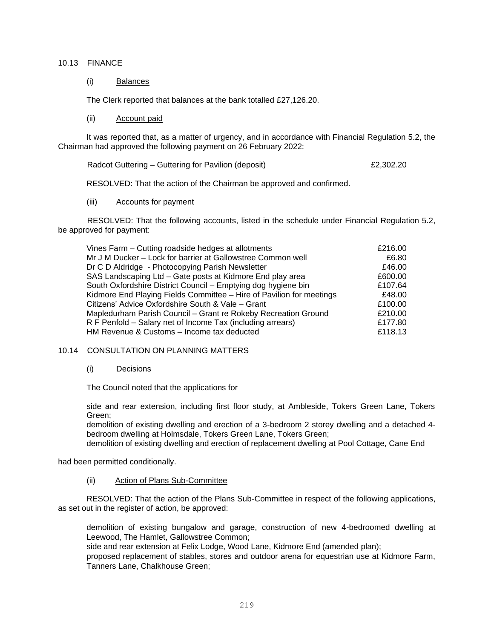### 10.13 FINANCE

(i) Balances

The Clerk reported that balances at the bank totalled £27,126.20.

(ii) Account paid

It was reported that, as a matter of urgency, and in accordance with Financial Regulation 5.2, the Chairman had approved the following payment on 26 February 2022:

Radcot Guttering – Guttering for Pavilion (deposit) example 2,302.20

RESOLVED: That the action of the Chairman be approved and confirmed.

(iii) Accounts for payment

RESOLVED: That the following accounts, listed in the schedule under Financial Regulation 5.2, be approved for payment:

| Vines Farm - Cutting roadside hedges at allotments                   | £216.00 |
|----------------------------------------------------------------------|---------|
| Mr J M Ducker - Lock for barrier at Gallowstree Common well          | £6.80   |
| Dr C D Aldridge - Photocopying Parish Newsletter                     | £46.00  |
| SAS Landscaping Ltd - Gate posts at Kidmore End play area            | £600.00 |
| South Oxfordshire District Council - Emptying dog hygiene bin        | £107.64 |
| Kidmore End Playing Fields Committee - Hire of Pavilion for meetings | £48.00  |
| Citizens' Advice Oxfordshire South & Vale - Grant                    | £100.00 |
| Mapledurham Parish Council - Grant re Rokeby Recreation Ground       | £210.00 |
| R F Penfold – Salary net of Income Tax (including arrears)           | £177.80 |
| HM Revenue & Customs - Income tax deducted                           | £118.13 |
|                                                                      |         |

## 10.14 CONSULTATION ON PLANNING MATTERS

### (i) Decisions

The Council noted that the applications for

side and rear extension, including first floor study, at Ambleside, Tokers Green Lane, Tokers Green;

demolition of existing dwelling and erection of a 3-bedroom 2 storey dwelling and a detached 4 bedroom dwelling at Holmsdale, Tokers Green Lane, Tokers Green;

demolition of existing dwelling and erection of replacement dwelling at Pool Cottage, Cane End

had been permitted conditionally.

(ii) Action of Plans Sub-Committee

RESOLVED: That the action of the Plans Sub-Committee in respect of the following applications, as set out in the register of action, be approved:

demolition of existing bungalow and garage, construction of new 4-bedroomed dwelling at Leewood, The Hamlet, Gallowstree Common;

side and rear extension at Felix Lodge, Wood Lane, Kidmore End (amended plan);

proposed replacement of stables, stores and outdoor arena for equestrian use at Kidmore Farm, Tanners Lane, Chalkhouse Green;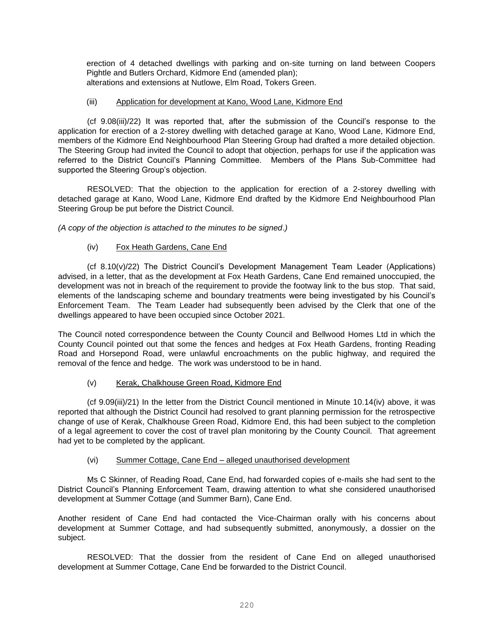erection of 4 detached dwellings with parking and on-site turning on land between Coopers Pightle and Butlers Orchard, Kidmore End (amended plan); alterations and extensions at Nutlowe, Elm Road, Tokers Green.

# (iii) Application for development at Kano, Wood Lane, Kidmore End

(cf 9.08(iii)/22) It was reported that, after the submission of the Council's response to the application for erection of a 2-storey dwelling with detached garage at Kano, Wood Lane, Kidmore End, members of the Kidmore End Neighbourhood Plan Steering Group had drafted a more detailed objection. The Steering Group had invited the Council to adopt that objection, perhaps for use if the application was referred to the District Council's Planning Committee. Members of the Plans Sub-Committee had supported the Steering Group's objection.

RESOLVED: That the objection to the application for erection of a 2-storey dwelling with detached garage at Kano, Wood Lane, Kidmore End drafted by the Kidmore End Neighbourhood Plan Steering Group be put before the District Council.

*(A copy of the objection is attached to the minutes to be signed*.*)*

# (iv) Fox Heath Gardens, Cane End

(cf 8.10(v)/22) The District Council's Development Management Team Leader (Applications) advised, in a letter, that as the development at Fox Heath Gardens, Cane End remained unoccupied, the development was not in breach of the requirement to provide the footway link to the bus stop. That said, elements of the landscaping scheme and boundary treatments were being investigated by his Council's Enforcement Team. The Team Leader had subsequently been advised by the Clerk that one of the dwellings appeared to have been occupied since October 2021.

The Council noted correspondence between the County Council and Bellwood Homes Ltd in which the County Council pointed out that some the fences and hedges at Fox Heath Gardens, fronting Reading Road and Horsepond Road, were unlawful encroachments on the public highway, and required the removal of the fence and hedge. The work was understood to be in hand.

# (v) Kerak, Chalkhouse Green Road, Kidmore End

(cf 9.09(iii)/21) In the letter from the District Council mentioned in Minute 10.14(iv) above, it was reported that although the District Council had resolved to grant planning permission for the retrospective change of use of Kerak, Chalkhouse Green Road, Kidmore End, this had been subject to the completion of a legal agreement to cover the cost of travel plan monitoring by the County Council. That agreement had yet to be completed by the applicant.

# (vi) Summer Cottage, Cane End – alleged unauthorised development

Ms C Skinner, of Reading Road, Cane End, had forwarded copies of e-mails she had sent to the District Council's Planning Enforcement Team, drawing attention to what she considered unauthorised development at Summer Cottage (and Summer Barn), Cane End.

Another resident of Cane End had contacted the Vice-Chairman orally with his concerns about development at Summer Cottage, and had subsequently submitted, anonymously, a dossier on the subject.

RESOLVED: That the dossier from the resident of Cane End on alleged unauthorised development at Summer Cottage, Cane End be forwarded to the District Council.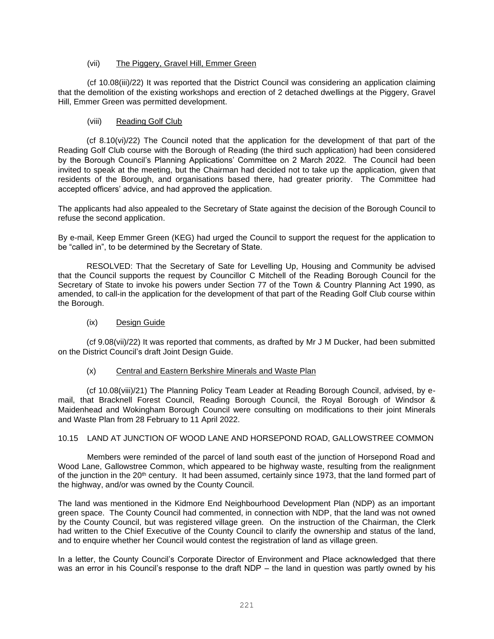## (vii) The Piggery, Gravel Hill, Emmer Green

(cf 10.08(iii)/22) It was reported that the District Council was considering an application claiming that the demolition of the existing workshops and erection of 2 detached dwellings at the Piggery, Gravel Hill, Emmer Green was permitted development.

# (viii) Reading Golf Club

(cf 8.10(vi)/22) The Council noted that the application for the development of that part of the Reading Golf Club course with the Borough of Reading (the third such application) had been considered by the Borough Council's Planning Applications' Committee on 2 March 2022. The Council had been invited to speak at the meeting, but the Chairman had decided not to take up the application, given that residents of the Borough, and organisations based there, had greater priority. The Committee had accepted officers' advice, and had approved the application.

The applicants had also appealed to the Secretary of State against the decision of the Borough Council to refuse the second application.

By e-mail, Keep Emmer Green (KEG) had urged the Council to support the request for the application to be "called in", to be determined by the Secretary of State.

RESOLVED: That the Secretary of Sate for Levelling Up, Housing and Community be advised that the Council supports the request by Councillor C Mitchell of the Reading Borough Council for the Secretary of State to invoke his powers under Section 77 of the Town & Country Planning Act 1990, as amended, to call-in the application for the development of that part of the Reading Golf Club course within the Borough.

# (ix) Design Guide

(cf 9.08(vii)/22) It was reported that comments, as drafted by Mr J M Ducker, had been submitted on the District Council's draft Joint Design Guide.

## (x) Central and Eastern Berkshire Minerals and Waste Plan

(cf 10.08(viii)/21) The Planning Policy Team Leader at Reading Borough Council, advised, by email, that Bracknell Forest Council, Reading Borough Council, the Royal Borough of Windsor & Maidenhead and Wokingham Borough Council were consulting on modifications to their joint Minerals and Waste Plan from 28 February to 11 April 2022.

## 10.15 LAND AT JUNCTION OF WOOD LANE AND HORSEPOND ROAD, GALLOWSTREE COMMON

Members were reminded of the parcel of land south east of the junction of Horsepond Road and Wood Lane, Gallowstree Common, which appeared to be highway waste, resulting from the realignment of the junction in the 20<sup>th</sup> century. It had been assumed, certainly since 1973, that the land formed part of the highway, and/or was owned by the County Council.

The land was mentioned in the Kidmore End Neighbourhood Development Plan (NDP) as an important green space. The County Council had commented, in connection with NDP, that the land was not owned by the County Council, but was registered village green. On the instruction of the Chairman, the Clerk had written to the Chief Executive of the County Council to clarify the ownership and status of the land, and to enquire whether her Council would contest the registration of land as village green.

In a letter, the County Council's Corporate Director of Environment and Place acknowledged that there was an error in his Council's response to the draft NDP – the land in question was partly owned by his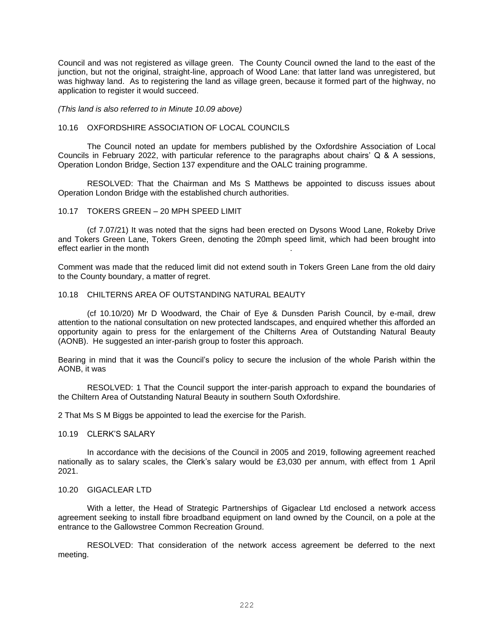Council and was not registered as village green. The County Council owned the land to the east of the junction, but not the original, straight-line, approach of Wood Lane: that latter land was unregistered, but was highway land. As to registering the land as village green, because it formed part of the highway, no application to register it would succeed.

*(This land is also referred to in Minute 10.09 above)*

#### 10.16 OXFORDSHIRE ASSOCIATION OF LOCAL COUNCILS

The Council noted an update for members published by the Oxfordshire Association of Local Councils in February 2022, with particular reference to the paragraphs about chairs' Q & A sessions, Operation London Bridge, Section 137 expenditure and the OALC training programme.

RESOLVED: That the Chairman and Ms S Matthews be appointed to discuss issues about Operation London Bridge with the established church authorities.

### 10.17 TOKERS GREEN – 20 MPH SPEED LIMIT

(cf 7.07/21) It was noted that the signs had been erected on Dysons Wood Lane, Rokeby Drive and Tokers Green Lane, Tokers Green, denoting the 20mph speed limit, which had been brought into effect earlier in the month .

Comment was made that the reduced limit did not extend south in Tokers Green Lane from the old dairy to the County boundary, a matter of regret.

## 10.18 CHILTERNS AREA OF OUTSTANDING NATURAL BEAUTY

(cf 10.10/20) Mr D Woodward, the Chair of Eye & Dunsden Parish Council, by e-mail, drew attention to the national consultation on new protected landscapes, and enquired whether this afforded an opportunity again to press for the enlargement of the Chilterns Area of Outstanding Natural Beauty (AONB). He suggested an inter-parish group to foster this approach.

Bearing in mind that it was the Council's policy to secure the inclusion of the whole Parish within the AONB, it was

RESOLVED: 1 That the Council support the inter-parish approach to expand the boundaries of the Chiltern Area of Outstanding Natural Beauty in southern South Oxfordshire.

2 That Ms S M Biggs be appointed to lead the exercise for the Parish.

#### 10.19 CLERK'S SALARY

In accordance with the decisions of the Council in 2005 and 2019, following agreement reached nationally as to salary scales, the Clerk's salary would be £3,030 per annum, with effect from 1 April 2021.

#### 10.20 GIGACLEAR LTD

With a letter, the Head of Strategic Partnerships of Gigaclear Ltd enclosed a network access agreement seeking to install fibre broadband equipment on land owned by the Council, on a pole at the entrance to the Gallowstree Common Recreation Ground.

RESOLVED: That consideration of the network access agreement be deferred to the next meeting.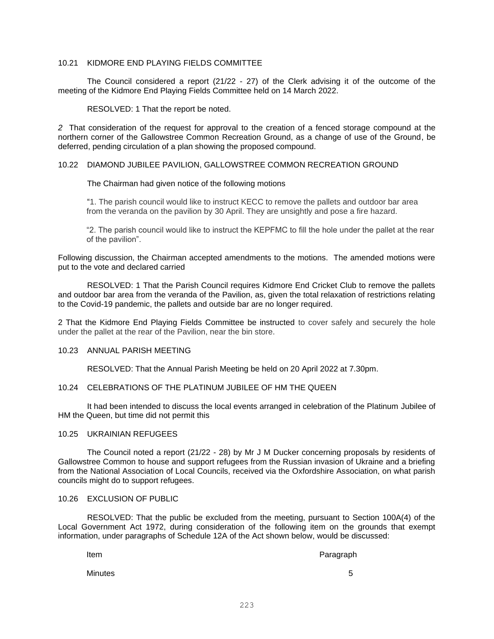# 10.21 KIDMORE END PLAYING FIELDS COMMITTEE

The Council considered a report (21/22 - 27) of the Clerk advising it of the outcome of the meeting of the Kidmore End Playing Fields Committee held on 14 March 2022.

RESOLVED: 1 That the report be noted.

*2* That consideration of the request for approval to the creation of a fenced storage compound at the northern corner of the Gallowstree Common Recreation Ground, as a change of use of the Ground, be deferred, pending circulation of a plan showing the proposed compound.

## 10.22 DIAMOND JUBILEE PAVILION, GALLOWSTREE COMMON RECREATION GROUND

### The Chairman had given notice of the following motions

"1. The parish council would like to instruct KECC to remove the pallets and outdoor bar area from the veranda on the pavilion by 30 April. They are unsightly and pose a fire hazard.

"2. The parish council would like to instruct the KEPFMC to fill the hole under the pallet at the rear of the pavilion".

Following discussion, the Chairman accepted amendments to the motions. The amended motions were put to the vote and declared carried

RESOLVED: 1 That the Parish Council requires Kidmore End Cricket Club to remove the pallets and outdoor bar area from the veranda of the Pavilion, as, given the total relaxation of restrictions relating to the Covid-19 pandemic, the pallets and outside bar are no longer required.

2 That the Kidmore End Playing Fields Committee be instructed to cover safely and securely the hole under the pallet at the rear of the Pavilion, near the bin store.

## 10.23 ANNUAL PARISH MEETING

RESOLVED: That the Annual Parish Meeting be held on 20 April 2022 at 7.30pm.

### 10.24 CELEBRATIONS OF THE PLATINUM JUBILEE OF HM THE QUEEN

It had been intended to discuss the local events arranged in celebration of the Platinum Jubilee of HM the Queen, but time did not permit this

### 10.25 UKRAINIAN REFUGEES

The Council noted a report (21/22 - 28) by Mr J M Ducker concerning proposals by residents of Gallowstree Common to house and support refugees from the Russian invasion of Ukraine and a briefing from the National Association of Local Councils, received via the Oxfordshire Association, on what parish councils might do to support refugees.

### 10.26 EXCLUSION OF PUBLIC

RESOLVED: That the public be excluded from the meeting, pursuant to Section 100A(4) of the Local Government Act 1972, during consideration of the following item on the grounds that exempt information, under paragraphs of Schedule 12A of the Act shown below, would be discussed:

Item **Paragraph** 

Minutes 5